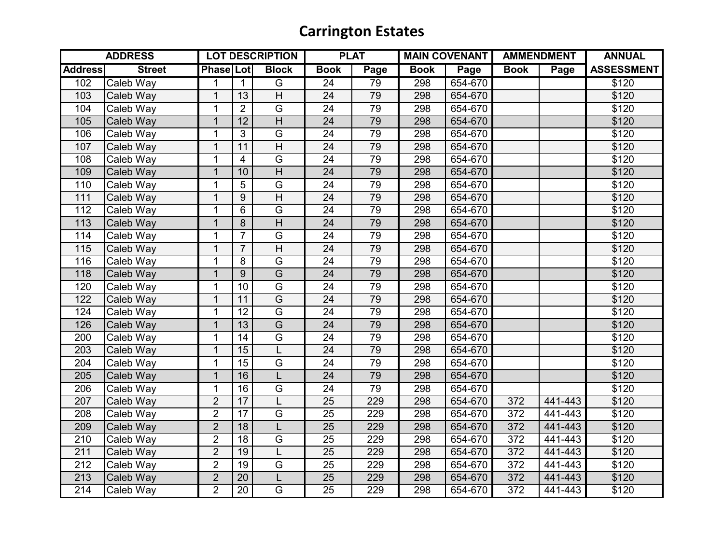## **Carrington Estates**

| <b>ADDRESS</b>   |               | <b>LOT DESCRIPTION</b> |                 |                                    | <b>PLAT</b>     |                 | <b>MAIN COVENANT</b> |         | <b>AMMENDMENT</b> |         | <b>ANNUAL</b>     |
|------------------|---------------|------------------------|-----------------|------------------------------------|-----------------|-----------------|----------------------|---------|-------------------|---------|-------------------|
| <b>Address</b>   | <b>Street</b> | <b>Phase Lot</b>       |                 | <b>Block</b>                       | <b>Book</b>     | Page            | <b>Book</b>          | Page    | <b>Book</b>       | Page    | <b>ASSESSMENT</b> |
| 102              | Caleb Way     | $\mathbf 1$            | $\mathbf{1}$    | G                                  | $\overline{24}$ | $\overline{79}$ | 298                  | 654-670 |                   |         | \$120             |
| 103              | Caleb Way     | $\mathbf{1}$           | 13              | $\overline{H}$                     | 24              | 79              | 298                  | 654-670 |                   |         | \$120             |
| 104              | Caleb Way     | $\mathbf{1}$           | $\overline{2}$  | $\overline{G}$                     | 24              | 79              | 298                  | 654-670 |                   |         | \$120             |
| 105              | Caleb Way     | $\overline{1}$         | $\overline{12}$ | $\overline{\overline{\mathsf{H}}}$ | 24              | 79              | 298                  | 654-670 |                   |         | \$120             |
| 106              | Caleb Way     | $\mathbf{1}$           | 3               | $\overline{G}$                     | 24              | 79              | 298                  | 654-670 |                   |         | \$120             |
| 107              | Caleb Way     | $\mathbf{1}$           | 11              | $\overline{H}$                     | 24              | 79              | 298                  | 654-670 |                   |         | \$120             |
| 108              | Caleb Way     | 1                      | $\overline{4}$  | $\overline{G}$                     | 24              | 79              | 298                  | 654-670 |                   |         | \$120             |
| 109              | Caleb Way     | $\mathbf{1}$           | 10              | $\overline{H}$                     | $\overline{24}$ | 79              | 298                  | 654-670 |                   |         | \$120             |
| 110              | Caleb Way     | $\mathbf{1}$           | $\overline{5}$  | G                                  | $\overline{24}$ | 79              | 298                  | 654-670 |                   |         | \$120             |
| 111              | Caleb Way     | $\mathbf{1}$           | 9               | $\overline{\mathsf{H}}$            | $\overline{24}$ | 79              | 298                  | 654-670 |                   |         | \$120             |
| $11\overline{2}$ | Caleb Way     | $\mathbf{1}$           | 6               | $\overline{G}$                     | 24              | 79              | 298                  | 654-670 |                   |         | \$120             |
| 113              | Caleb Way     | $\mathbf{1}$           | 8               | H                                  | 24              | 79              | 298                  | 654-670 |                   |         | \$120             |
| 114              | Caleb Way     | $\mathbf{1}$           | $\overline{7}$  | $\overline{G}$                     | 24              | 79              | 298                  | 654-670 |                   |         | \$120             |
| 115              | Caleb Way     | $\mathbf{1}$           | $\overline{7}$  | $\overline{H}$                     | 24              | 79              | 298                  | 654-670 |                   |         | \$120             |
| 116              | Caleb Way     | $\mathbf{1}$           | 8               | $\overline{G}$                     | 24              | 79              | 298                  | 654-670 |                   |         | \$120             |
| 118              | Caleb Way     | $\mathbf{1}$           | 9               | $\overline{G}$                     | 24              | 79              | 298                  | 654-670 |                   |         | \$120             |
| 120              | Caleb Way     | $\mathbf{1}$           | 10              | $\overline{G}$                     | 24              | 79              | 298                  | 654-670 |                   |         | \$120             |
| 122              | Caleb Way     | $\mathbf{1}$           | 11              | $\overline{G}$                     | 24              | 79              | 298                  | 654-670 |                   |         | \$120             |
| 124              | Caleb Way     | $\mathbf{1}$           | $\overline{12}$ | $\overline{G}$                     | 24              | 79              | 298                  | 654-670 |                   |         | \$120             |
| 126              | Caleb Way     | $\mathbf{1}$           | 13              | $\overline{\mathsf{G}}$            | 24              | 79              | 298                  | 654-670 |                   |         | \$120             |
| 200              | Caleb Way     | $\mathbf{1}$           | 14              | $\overline{G}$                     | 24              | 79              | 298                  | 654-670 |                   |         | \$120             |
| 203              | Caleb Way     | $\mathbf{1}$           | 15              | L                                  | 24              | 79              | 298                  | 654-670 |                   |         | \$120             |
| 204              | Caleb Way     | $\mathbf{1}$           | 15              | $\overline{G}$                     | 24              | 79              | 298                  | 654-670 |                   |         | \$120             |
| 205              | Caleb Way     | $\mathbf{1}$           | 16              | L                                  | 24              | 79              | 298                  | 654-670 |                   |         | \$120             |
| 206              | Caleb Way     | $\mathbf{1}$           | $\overline{16}$ | G                                  | 24              | $\overline{79}$ | 298                  | 654-670 |                   |         | \$120             |
| 207              | Caleb Way     | $\overline{2}$         | 17              | L                                  | 25              | 229             | 298                  | 654-670 | 372               | 441-443 | \$120             |
| 208              | Caleb Way     | $\overline{2}$         | $\overline{17}$ | $\overline{G}$                     | 25              | 229             | 298                  | 654-670 | 372               | 441-443 | \$120             |
| 209              | Caleb Way     | $\overline{2}$         | $\overline{18}$ | L                                  | 25              | 229             | 298                  | 654-670 | 372               | 441-443 | \$120             |
| 210              | Caleb Way     | $\overline{2}$         | 18              | $\overline{G}$                     | 25              | 229             | 298                  | 654-670 | 372               | 441-443 | \$120             |
| 211              | Caleb Way     | $\overline{2}$         | 19              | L                                  | 25              | 229             | 298                  | 654-670 | 372               | 441-443 | \$120             |
| 212              | Caleb Way     | $\overline{2}$         | 19              | $\overline{G}$                     | 25              | 229             | 298                  | 654-670 | 372               | 441-443 | \$120             |
| 213              | Caleb Way     | $\overline{2}$         | 20              | Г                                  | 25              | 229             | 298                  | 654-670 | 372               | 441-443 | \$120             |
| $\overline{214}$ | Caleb Way     | $\overline{2}$         | $\overline{20}$ | $\overline{\mathsf{G}}$            | $\overline{25}$ | 229             | 298                  | 654-670 | $\overline{372}$  | 441-443 | \$120             |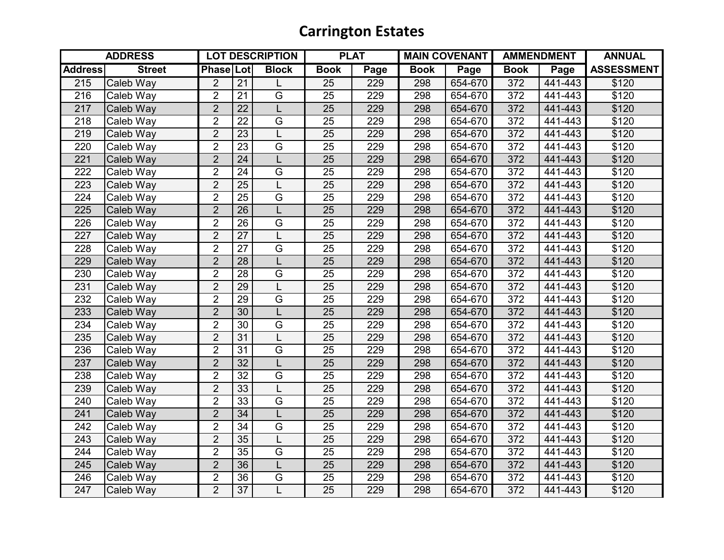## **Carrington Estates**

| <b>ADDRESS</b>   |               | <b>LOT DESCRIPTION</b> |                 |                         | <b>PLAT</b>     |      | <b>MAIN COVENANT</b> |         | <b>AMMENDMENT</b> |         | <b>ANNUAL</b>     |
|------------------|---------------|------------------------|-----------------|-------------------------|-----------------|------|----------------------|---------|-------------------|---------|-------------------|
| <b>Address</b>   | <b>Street</b> | <b>Phase Lot</b>       |                 | <b>Block</b>            | <b>Book</b>     | Page | <b>Book</b>          | Page    | <b>Book</b>       | Page    | <b>ASSESSMENT</b> |
| 215              | Caleb Way     | $\overline{2}$         | $\overline{21}$ |                         | $\overline{25}$ | 229  | 298                  | 654-670 | 372               | 441-443 | \$120             |
| 216              | Caleb Way     | $\overline{2}$         | 21              | G                       | 25              | 229  | 298                  | 654-670 | 372               | 441-443 | \$120             |
| 217              | Caleb Way     | $\overline{2}$         | $\overline{22}$ | L                       | 25              | 229  | 298                  | 654-670 | 372               | 441-443 | \$120             |
| 218              | Caleb Way     | $\overline{2}$         | $\overline{22}$ | $\overline{\mathsf{G}}$ | 25              | 229  | 298                  | 654-670 | 372               | 441-443 | \$120             |
| 219              | Caleb Way     | $\overline{2}$         | 23              | L                       | 25              | 229  | 298                  | 654-670 | 372               | 441-443 | \$120             |
| 220              | Caleb Way     | $\overline{2}$         | 23              | $\overline{G}$          | 25              | 229  | 298                  | 654-670 | 372               | 441-443 | \$120             |
| 221              | Caleb Way     | $\overline{2}$         | 24              | L                       | 25              | 229  | 298                  | 654-670 | 372               | 441-443 | \$120             |
| 222              | Caleb Way     | $\overline{2}$         | $\overline{24}$ | G                       | $\overline{25}$ | 229  | 298                  | 654-670 | $\overline{372}$  | 441-443 | \$120             |
| 223              | Caleb Way     | $\overline{2}$         | 25              |                         | 25              | 229  | 298                  | 654-670 | 372               | 441-443 | \$120             |
| 224              | Caleb Way     | $\overline{2}$         | $\overline{25}$ | $\overline{G}$          | 25              | 229  | 298                  | 654-670 | 372               | 441-443 | \$120             |
| 225              | Caleb Way     | $\overline{2}$         | $\overline{26}$ | L                       | 25              | 229  | 298                  | 654-670 | 372               | 441-443 | \$120             |
| 226              | Caleb Way     | $\overline{2}$         | 26              | $\overline{G}$          | 25              | 229  | 298                  | 654-670 | 372               | 441-443 | \$120             |
| 227              | Caleb Way     | $\overline{2}$         | $\overline{27}$ | L                       | 25              | 229  | 298                  | 654-670 | 372               | 441-443 | \$120             |
| 228              | Caleb Way     | $\overline{2}$         | $\overline{27}$ | $\overline{G}$          | 25              | 229  | 298                  | 654-670 | 372               | 441-443 | \$120             |
| 229              | Caleb Way     | $\overline{2}$         | 28              | L                       | 25              | 229  | 298                  | 654-670 | 372               | 441-443 | \$120             |
| 230              | Caleb Way     | $\overline{2}$         | $\overline{28}$ | G                       | $\overline{25}$ | 229  | 298                  | 654-670 | 372               | 441-443 | \$120             |
| 231              | Caleb Way     | $\overline{2}$         | 29              | L                       | 25              | 229  | 298                  | 654-670 | 372               | 441-443 | \$120             |
| 232              | Caleb Way     | $\overline{2}$         | 29              | $\overline{G}$          | 25              | 229  | 298                  | 654-670 | 372               | 441-443 | \$120             |
| 233              | Caleb Way     | $\overline{2}$         | $\overline{30}$ | L                       | 25              | 229  | 298                  | 654-670 | 372               | 441-443 | \$120             |
| 234              | Caleb Way     | $\overline{2}$         | 30              | G                       | 25              | 229  | 298                  | 654-670 | 372               | 441-443 | \$120             |
| 235              | Caleb Way     | $\overline{2}$         | 31              | L                       | 25              | 229  | 298                  | 654-670 | 372               | 441-443 | \$120             |
| 236              | Caleb Way     | $\overline{2}$         | 31              | $\overline{G}$          | 25              | 229  | 298                  | 654-670 | 372               | 441-443 | \$120             |
| 237              | Caleb Way     | $\overline{2}$         | 32              | L                       | 25              | 229  | 298                  | 654-670 | 372               | 441-443 | \$120             |
| 238              | Caleb Way     | $\overline{2}$         | $\overline{32}$ | G                       | $\overline{25}$ | 229  | 298                  | 654-670 | 372               | 441-443 | \$120             |
| 239              | Caleb Way     | $\overline{2}$         | 33              | L                       | 25              | 229  | 298                  | 654-670 | 372               | 441-443 | \$120             |
| 240              | Caleb Way     | $\overline{2}$         | 33              | $\overline{G}$          | 25              | 229  | 298                  | 654-670 | 372               | 441-443 | \$120             |
| 241              | Caleb Way     | $\overline{2}$         | 34              | L                       | 25              | 229  | 298                  | 654-670 | 372               | 441-443 | \$120             |
| 242              | Caleb Way     | $\overline{2}$         | 34              | G                       | 25              | 229  | 298                  | 654-670 | 372               | 441-443 | \$120             |
| 243              | Caleb Way     | $\overline{2}$         | $\overline{35}$ | L                       | 25              | 229  | 298                  | 654-670 | 372               | 441-443 | \$120             |
| 244              | Caleb Way     | $\overline{2}$         | 35              | $\overline{G}$          | 25              | 229  | 298                  | 654-670 | 372               | 441-443 | \$120             |
| 245              | Caleb Way     | $\overline{2}$         | 36              | L                       | 25              | 229  | 298                  | 654-670 | 372               | 441-443 | \$120             |
| 246              | Caleb Way     | $\overline{2}$         | $\overline{36}$ | G                       | 25              | 229  | 298                  | 654-670 | 372               | 441-443 | \$120             |
| $\overline{247}$ | Caleb Way     | $\overline{2}$         | $\overline{37}$ | $\overline{L}$          | $\overline{25}$ | 229  | 298                  | 654-670 | 372               | 441-443 | \$120             |